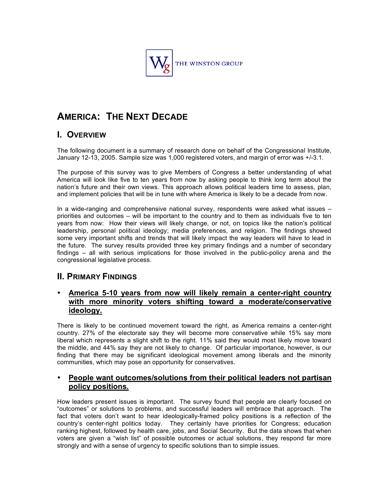

# **AMERICA: THE NEXT DECADE**

# **I. OVERVIEW**

The following document is a summary of research done on behalf of the Congressional Institute, January 12-13, 2005. Sample size was 1,000 registered voters, and margin of error was +/-3.1.

The purpose of this survey was to give Members of Congress a better understanding of what America will look like five to ten years from now by asking people to think long term about the nation's future and their own views. This approach allows political leaders time to assess, plan, and implement policies that will be in tune with where America is likely to be a decade from now.

In a wide-ranging and comprehensive national survey, respondents were asked what issues – priorities and outcomes – will be important to the country and to them as individuals five to ten years from now: How their views will likely change, or not, on topics like the nation's political leadership, personal political ideology; media preferences, and religion. The findings showed some very important shifts and trends that will likely impact the way leaders will have to lead in the future. The survey results provided three key primary findings and a number of secondary findings – all with serious implications for those involved in the public-policy arena and the congressional legislative process.

# **II. PRIMARY FINDINGS**

# • **America 5-10 years from now will likely remain a center-right country with more minority voters shifting toward a moderate/conservative ideology.**

There is likely to be continued movement toward the right, as America remains a center-right country. 27% of the electorate say they will become more conservative while 15% say more liberal which represents a slight shift to the right. 11% said they would most likely move toward the middle, and 44% say they are not likely to change. Of particular importance, however, is our finding that there may be significant ideological movement among liberals and the minority communities, which may pose an opportunity for conservatives.

# • **People want outcomes/solutions from their political leaders not partisan policy positions.**

How leaders present issues is important. The survey found that people are clearly focused on "outcomes" or solutions to problems, and successful leaders will embrace that approach. The fact that voters don't want to hear ideologically-framed policy positions is a reflection of the country's center-right politics today. They certainly have priorities for Congress; education ranking highest, followed by health care, jobs, and Social Security. But the data shows that when voters are given a "wish list" of possible outcomes or actual solutions, they respond far more strongly and with a sense of urgency to specific solutions than to simple issues.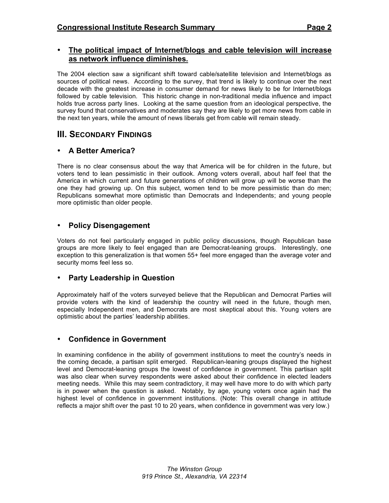# • **The political impact of Internet/blogs and cable television will increase as network influence diminishes.**

The 2004 election saw a significant shift toward cable/satellite television and Internet/blogs as sources of political news. According to the survey, that trend is likely to continue over the next decade with the greatest increase in consumer demand for news likely to be for Internet/blogs followed by cable television. This historic change in non-traditional media influence and impact holds true across party lines. Looking at the same question from an ideological perspective, the survey found that conservatives and moderates say they are likely to get more news from cable in the next ten years, while the amount of news liberals get from cable will remain steady.

# **III. SECONDARY FINDINGS**

# • **A Better America?**

There is no clear consensus about the way that America will be for children in the future, but voters tend to lean pessimistic in their outlook. Among voters overall, about half feel that the America in which current and future generations of children will grow up will be worse than the one they had growing up. On this subject, women tend to be more pessimistic than do men; Republicans somewhat more optimistic than Democrats and Independents; and young people more optimistic than older people.

# • **Policy Disengagement**

Voters do not feel particularly engaged in public policy discussions, though Republican base groups are more likely to feel engaged than are Democrat-leaning groups. Interestingly, one exception to this generalization is that women 55+ feel more engaged than the average voter and security moms feel less so.

# • **Party Leadership in Question**

Approximately half of the voters surveyed believe that the Republican and Democrat Parties will provide voters with the kind of leadership the country will need in the future, though men, especially Independent men, and Democrats are most skeptical about this. Young voters are optimistic about the parties' leadership abilities.

# • **Confidence in Government**

In examining confidence in the ability of government institutions to meet the country's needs in the coming decade, a partisan split emerged. Republican-leaning groups displayed the highest level and Democrat-leaning groups the lowest of confidence in government. This partisan split was also clear when survey respondents were asked about their confidence in elected leaders meeting needs. While this may seem contradictory, it may well have more to do with which party is in power when the question is asked. Notably, by age, young voters once again had the highest level of confidence in government institutions. (Note: This overall change in attitude reflects a major shift over the past 10 to 20 years, when confidence in government was very low.)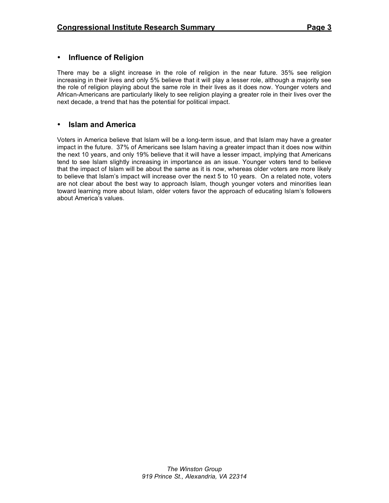# • **Influence of Religion**

There may be a slight increase in the role of religion in the near future. 35% see religion increasing in their lives and only 5% believe that it will play a lesser role, although a majority see the role of religion playing about the same role in their lives as it does now. Younger voters and African-Americans are particularly likely to see religion playing a greater role in their lives over the next decade, a trend that has the potential for political impact.

### • **Islam and America**

Voters in America believe that Islam will be a long-term issue, and that Islam may have a greater impact in the future. 37% of Americans see Islam having a greater impact than it does now within the next 10 years, and only 19% believe that it will have a lesser impact, implying that Americans tend to see Islam slightly increasing in importance as an issue. Younger voters tend to believe that the impact of Islam will be about the same as it is now, whereas older voters are more likely to believe that Islam's impact will increase over the next 5 to 10 years. On a related note, voters are not clear about the best way to approach Islam, though younger voters and minorities lean toward learning more about Islam, older voters favor the approach of educating Islam's followers about America's values.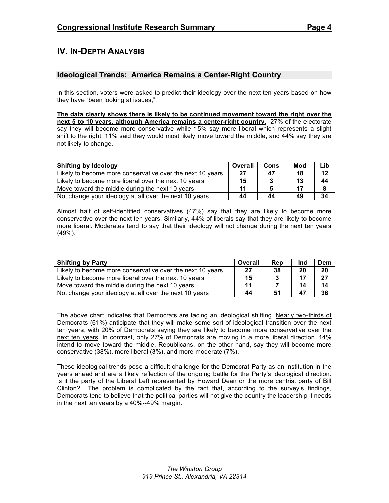# **IV. IN-DEPTH ANALYSIS**

# **Ideological Trends: America Remains a Center-Right Country**

In this section, voters were asked to predict their ideology over the next ten years based on how they have "been looking at issues,".

**The data clearly shows there is likely to be continued movement toward the right over the next 5 to 10 years, although America remains a center-right country.** 27% of the electorate say they will become more conservative while 15% say more liberal which represents a slight shift to the right. 11% said they would most likely move toward the middle, and 44% say they are not likely to change.

| <b>Shifting by Ideology</b>                               | Overall | Cons | Mod | Lib |
|-----------------------------------------------------------|---------|------|-----|-----|
| Likely to become more conservative over the next 10 years | 27      | 47   | 18  | 12  |
| Likely to become more liberal over the next 10 years      | 15      |      | 13  | 44  |
| Move toward the middle during the next 10 years           |         |      |     |     |
| Not change your ideology at all over the next 10 years    | 44      | 44   | 49  | 34  |

Almost half of self-identified conservatives (47%) say that they are likely to become more conservative over the next ten years. Similarly, 44% of liberals say that they are likely to become more liberal. Moderates tend to say that their ideology will not change during the next ten years (49%).

| <b>Shifting by Party</b>                                  | Overall | Rep | Ind | Dem |
|-----------------------------------------------------------|---------|-----|-----|-----|
| Likely to become more conservative over the next 10 years | 27      | 38  | 20  | 20  |
| Likely to become more liberal over the next 10 years      | 15      |     | 17  | 27  |
| Move toward the middle during the next 10 years           | 11      |     | 14  | 14  |
| Not change your ideology at all over the next 10 years    | 44      |     | 47  | 36  |

The above chart indicates that Democrats are facing an ideological shifting. Nearly two-thirds of Democrats (61%) anticipate that they will make some sort of ideological transition over the next ten years, with 20% of Democrats saying they are likely to become more conservative over the next ten years. In contrast, only 27% of Democrats are moving in a more liberal direction. 14% intend to move toward the middle. Republicans, on the other hand, say they will become more conservative (38%), more liberal (3%), and more moderate (7%).

These ideological trends pose a difficult challenge for the Democrat Party as an institution in the years ahead and are a likely reflection of the ongoing battle for the Party's ideological direction. Is it the party of the Liberal Left represented by Howard Dean or the more centrist party of Bill Clinton? The problem is complicated by the fact that, according to the survey's findings, Democrats tend to believe that the political parties will not give the country the leadership it needs in the next ten years by a 40%--49% margin.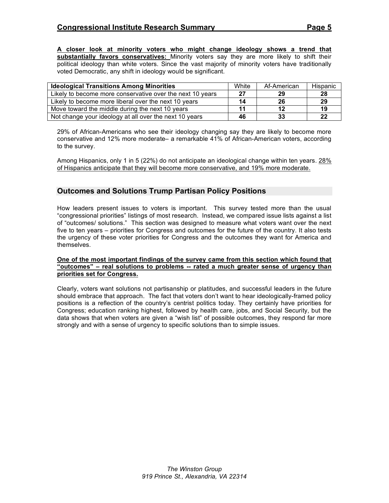**A closer look at minority voters who might change ideology shows a trend that substantially favors conservatives:** Minority voters say they are more likely to shift their political ideology than white voters. Since the vast majority of minority voters have traditionally voted Democratic, any shift in ideology would be significant.

| <b>Ideological Transitions Among Minorities</b>           | White | Af-American | Hispanic |
|-----------------------------------------------------------|-------|-------------|----------|
| Likely to become more conservative over the next 10 years | 27    | 29          | 28       |
| Likely to become more liberal over the next 10 years      | 14    | 26          | 29       |
| Move toward the middle during the next 10 years           |       | 12          | 19       |
| Not change your ideology at all over the next 10 years    | 46    | 33          | 22       |

29% of African-Americans who see their ideology changing say they are likely to become more conservative and 12% more moderate– a remarkable 41% of African-American voters, according to the survey.

Among Hispanics, only 1 in 5 (22%) do not anticipate an ideological change within ten years. 28% of Hispanics anticipate that they will become more conservative, and 19% more moderate.

# **Outcomes and Solutions Trump Partisan Policy Positions**

How leaders present issues to voters is important. This survey tested more than the usual "congressional priorities" listings of most research. Instead, we compared issue lists against a list of "outcomes/ solutions." This section was designed to measure what voters want over the next five to ten years – priorities for Congress and outcomes for the future of the country. It also tests the urgency of these voter priorities for Congress and the outcomes they want for America and themselves.

#### **One of the most important findings of the survey came from this section which found that "outcomes" – real solutions to problems -- rated a much greater sense of urgency than priorities set for Congress.**

Clearly, voters want solutions not partisanship or platitudes, and successful leaders in the future should embrace that approach. The fact that voters don't want to hear ideologically-framed policy positions is a reflection of the country's centrist politics today. They certainly have priorities for Congress; education ranking highest, followed by health care, jobs, and Social Security, but the data shows that when voters are given a "wish list" of possible outcomes, they respond far more strongly and with a sense of urgency to specific solutions than to simple issues.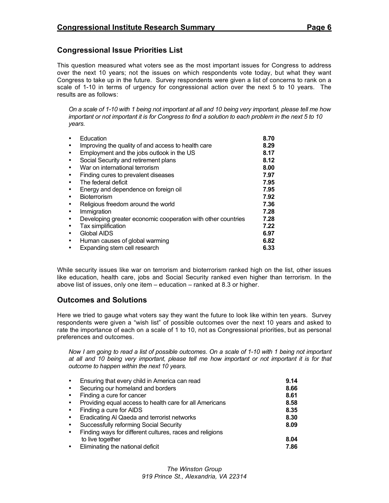# **Congressional Issue Priorities List**

This question measured what voters see as the most important issues for Congress to address over the next 10 years; not the issues on which respondents vote today, but what they want Congress to take up in the future. Survey respondents were given a list of concerns to rank on a scale of 1-10 in terms of urgency for congressional action over the next 5 to 10 years. The results are as follows:

On a scale of 1-10 with 1 being not important at all and 10 being very important, please tell me how important or not important it is for Congress to find a solution to each problem in the next 5 to 10 *years.*

|           | Education                                                    | 8.70 |
|-----------|--------------------------------------------------------------|------|
| $\bullet$ | Improving the quality of and access to health care           | 8.29 |
| $\bullet$ | Employment and the jobs outlook in the US                    | 8.17 |
| $\bullet$ | Social Security and retirement plans                         | 8.12 |
| $\bullet$ | War on international terrorism                               | 8.00 |
| $\bullet$ | Finding cures to prevalent diseases                          | 7.97 |
| $\bullet$ | The federal deficit                                          | 7.95 |
| $\bullet$ | Energy and dependence on foreign oil                         | 7.95 |
| $\bullet$ | <b>Bioterrorism</b>                                          | 7.92 |
| $\bullet$ | Religious freedom around the world                           | 7.36 |
| $\bullet$ | Immigration                                                  | 7.28 |
| $\bullet$ | Developing greater economic cooperation with other countries | 7.28 |
| $\bullet$ | <b>Tax simplification</b>                                    | 7.22 |
| $\bullet$ | <b>Global AIDS</b>                                           | 6.97 |
| $\bullet$ | Human causes of global warming                               | 6.82 |
| $\bullet$ | Expanding stem cell research                                 | 6.33 |

While security issues like war on terrorism and bioterrorism ranked high on the list, other issues like education, health care, jobs and Social Security ranked even higher than terrorism. In the above list of issues, only one item – education – ranked at 8.3 or higher.

### **Outcomes and Solutions**

Here we tried to gauge what voters say they want the future to look like within ten years. Survey respondents were given a "wish list" of possible outcomes over the next 10 years and asked to rate the importance of each on a scale of 1 to 10, not as Congressional priorities, but as personal preferences and outcomes.

Now I am going to read a list of possible outcomes. On a scale of 1-10 with 1 being not important at all and 10 being very important, please tell me how important or not important it is for that *outcome to happen within the next 10 years.*

| $\bullet$ | Ensuring that every child in America can read            | 9.14 |
|-----------|----------------------------------------------------------|------|
| $\bullet$ | Securing our homeland and borders                        | 8.66 |
| $\bullet$ | Finding a cure for cancer                                | 8.61 |
| $\bullet$ | Providing equal access to health care for all Americans  | 8.58 |
| $\bullet$ | Finding a cure for AIDS                                  | 8.35 |
| $\bullet$ | Eradicating AI Qaeda and terrorist networks              | 8.30 |
| $\bullet$ | Successfully reforming Social Security                   | 8.09 |
| $\bullet$ | Finding ways for different cultures, races and religions |      |
|           | to live together                                         | 8.04 |
| $\bullet$ | Eliminating the national deficit                         | 7.86 |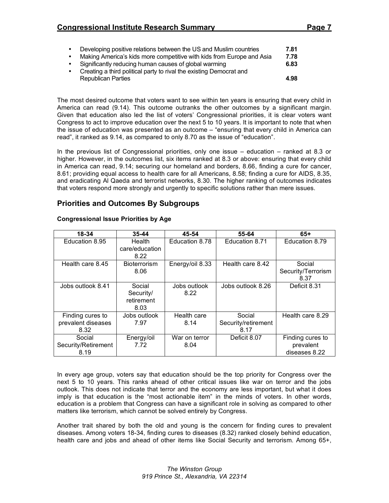# **Congressional Institute Research Summary Page 7**

- Developing positive relations between the US and Muslim countries **7.81** • Making America's kids more competitive with kids from Europe and Asia **7.78** • Significantly reducing human causes of global warming **6.83**
- Creating a third political party to rival the existing Democrat and Republican Parties **4.98**

The most desired outcome that voters want to see within ten years is ensuring that every child in America can read (9.14). This outcome outranks the other outcomes by a significant margin. Given that education also led the list of voters' Congressional priorities, it is clear voters want Congress to act to improve education over the next 5 to 10 years. It is important to note that when the issue of education was presented as an outcome – "ensuring that every child in America can read", it ranked as 9.14, as compared to only 8.70 as the issue of "education".

In the previous list of Congressional priorities, only one issue – education – ranked at 8.3 or higher. However, in the outcomes list, six items ranked at 8.3 or above: ensuring that every child in America can read, 9.14; securing our homeland and borders, 8.66, finding a cure for cancer, 8.61; providing equal access to health care for all Americans, 8.58; finding a cure for AIDS, 8.35, and eradicating Al Qaeda and terrorist networks, 8.30. The higher ranking of outcomes indicates that voters respond more strongly and urgently to specific solutions rather than mere issues.

# **Priorities and Outcomes By Subgroups**

| 18-34               | 35-44                    | 45-54           | 55-64               | $65+$              |
|---------------------|--------------------------|-----------------|---------------------|--------------------|
| Education 8.95      | Health<br>care/education | Education 8.78  | Education 8.71      | Education 8.79     |
|                     | 8.22                     |                 |                     |                    |
| Health care 8.45    | <b>Bioterrorism</b>      | Energy/oil 8.33 | Health care 8.42    | Social             |
|                     | 8.06                     |                 |                     | Security/Terrorism |
|                     |                          |                 |                     | 8.37               |
| Jobs outlook 8.41   | Social                   | Jobs outlook    | Jobs outlook 8.26   | Deficit 8.31       |
|                     | Security/                | 8.22            |                     |                    |
|                     | retirement               |                 |                     |                    |
|                     | 8.03                     |                 |                     |                    |
| Finding cures to    | Jobs outlook             | Health care     | Social              | Health care 8.29   |
| prevalent diseases  | 7.97                     | 8.14            | Security/retirement |                    |
| 8.32                |                          |                 | 8.17                |                    |
| Social              | Energy/oil               | War on terror   | Deficit 8.07        | Finding cures to   |
| Security/Retirement | 7.72                     | 8.04            |                     | prevalent          |
| 8.19                |                          |                 |                     | diseases 8.22      |

#### **Congressional Issue Priorities by Age**

In every age group, voters say that education should be the top priority for Congress over the next 5 to 10 years. This ranks ahead of other critical issues like war on terror and the jobs outlook. This does not indicate that terror and the economy are less important, but what it does imply is that education is the "most actionable item" in the minds of voters. In other words, education is a problem that Congress can have a significant role in solving as compared to other matters like terrorism, which cannot be solved entirely by Congress.

Another trait shared by both the old and young is the concern for finding cures to prevalent diseases. Among voters 18-34, finding cures to diseases (8.32) ranked closely behind education, health care and jobs and ahead of other items like Social Security and terrorism. Among 65+,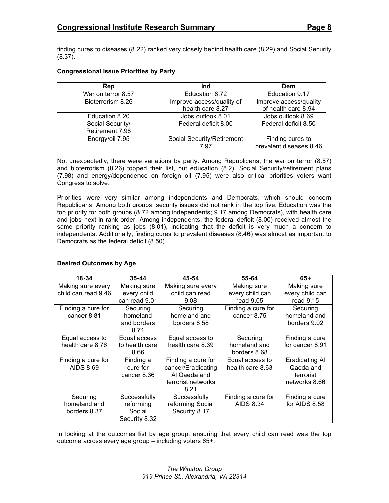finding cures to diseases (8.22) ranked very closely behind health care (8.29) and Social Security (8.37).

#### **Congressional Issue Priorities by Party**

| <b>Rep</b>         | Ind                        | Dem                     |
|--------------------|----------------------------|-------------------------|
| War on terror 8.57 | Education 8.72             | Education 9.17          |
| Bioterrorism 8.26  | Improve access/quality of  | Improve access/quality  |
|                    | health care 8.27           | of health care 8.94     |
| Education 8.20     | Jobs outlook 8.01          | Jobs outlook 8.69       |
| Social Security/   | Federal deficit 8.00       | Federal deficit 8.50    |
| Retirement 7.98    |                            |                         |
| Energy/oil 7.95    | Social Security/Retirement | Finding cures to        |
|                    | 7.97                       | prevalent diseases 8.46 |

Not unexpectedly, there were variations by party. Among Republicans, the war on terror (8.57) and bioterrorism (8.26) topped their list, but education (8.2), Social Security/retirement plans (7.98) and energy/dependence on foreign oil (7.95) were also critical priorities voters want Congress to solve.

Priorities were very similar among independents and Democrats, which should concern Republicans. Among both groups, security issues did not rank in the top five. Education was the top priority for both groups (8.72 among independents; 9.17 among Democrats), with health care and jobs next in rank order. Among independents, the federal deficit (8.00) received almost the same priority ranking as jobs (8.01), indicating that the deficit is very much a concern to independents. Additionally, finding cures to prevalent diseases (8.46) was almost as important to Democrats as the federal deficit (8.50).

| 18-34               | $35 - 44$      | 45-54              | 55-64              | $65+$           |
|---------------------|----------------|--------------------|--------------------|-----------------|
| Making sure every   | Making sure    | Making sure every  | Making sure        | Making sure     |
| child can read 9.46 | every child    | child can read     | every child can    | every child can |
|                     | can read 9.01  | 9.08               | read $9.05$        | read 9.15       |
| Finding a cure for  | Securing       | Securing           | Finding a cure for | Securing        |
| cancer 8.81         | homeland       | homeland and       | cancer 8.75        | homeland and    |
|                     | and borders    | borders 8.58       |                    | borders 9.02    |
|                     | 8.71           |                    |                    |                 |
| Equal access to     | Equal access   | Equal access to    | Securing           | Finding a cure  |
| health care 8.76    | to health care | health care 8.39   | homeland and       | for cancer 8.91 |
|                     | 8.66           |                    | borders 8.68       |                 |
| Finding a cure for  | Finding a      | Finding a cure for | Equal access to    | Eradicating Al  |
| <b>AIDS 8.69</b>    | cure for       | cancer/Eradicating | health care 8.63   | Qaeda and       |
|                     | cancer 8.36    | Al Qaeda and       |                    | terrorist       |
|                     |                | terrorist networks |                    | networks 8.66   |
|                     |                | 8.21               |                    |                 |
| Securing            | Successfully   | Successfully       | Finding a cure for | Finding a cure  |
| homeland and        | reforming      | reforming Social   | <b>AIDS 8.34</b>   | for AIDS 8.58   |
| borders 8.37        | Social         | Security 8.17      |                    |                 |
|                     | Security 8.32  |                    |                    |                 |

#### **Desired Outcomes by Age**

In looking at the outcomes list by age group, ensuring that every child can read was the top outcome across every age group – including voters 65+.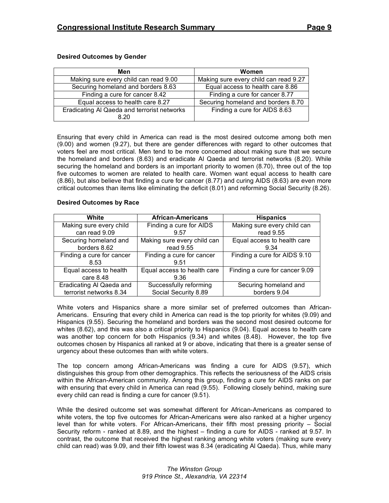| Men                                                 | <b>Women</b>                          |
|-----------------------------------------------------|---------------------------------------|
| Making sure every child can read 9.00               | Making sure every child can read 9.27 |
| Securing homeland and borders 8.63                  | Equal access to health care 8.86      |
| Finding a cure for cancer 8.42                      | Finding a cure for cancer 8.77        |
| Equal access to health care 8.27                    | Securing homeland and borders 8.70    |
| Eradicating AI Qaeda and terrorist networks<br>8.20 | Finding a cure for AIDS 8.63          |

#### **Desired Outcomes by Gender**

Ensuring that every child in America can read is the most desired outcome among both men (9.00) and women (9.27), but there are gender differences with regard to other outcomes that voters feel are most critical. Men tend to be more concerned about making sure that we secure the homeland and borders (8.63) and eradicate Al Qaeda and terrorist networks (8.20). While securing the homeland and borders is an important priority to women (8.70), three out of the top five outcomes to women are related to health care. Women want equal access to health care (8.86), but also believe that finding a cure for cancer (8.77) and curing AIDS (8.63) are even more critical outcomes than items like eliminating the deficit (8.01) and reforming Social Security (8.26).

#### **Desired Outcomes by Race**

| White                     | <b>African-Americans</b>    | <b>Hispanics</b>               |
|---------------------------|-----------------------------|--------------------------------|
| Making sure every child   | Finding a cure for AIDS     | Making sure every child can    |
| can read 9.09             | 9.57                        | read 9.55                      |
| Securing homeland and     | Making sure every child can | Equal access to health care    |
| borders 8.62              | read 9.55                   | 9.34                           |
| Finding a cure for cancer | Finding a cure for cancer   | Finding a cure for AIDS 9.10   |
| 8.53                      | 9.51                        |                                |
| Equal access to health    | Equal access to health care | Finding a cure for cancer 9.09 |
| care 8.48                 | 9.36                        |                                |
| Eradicating Al Qaeda and  | Successfully reforming      | Securing homeland and          |
| terrorist networks 8.34   | Social Security 8.89        | borders 9.04                   |

White voters and Hispanics share a more similar set of preferred outcomes than African-Americans. Ensuring that every child in America can read is the top priority for whites (9.09) and Hispanics (9.55). Securing the homeland and borders was the second most desired outcome for whites (8.62), and this was also a critical priority to Hispanics (9.04). Equal access to health care was another top concern for both Hispanics (9.34) and whites (8.48). However, the top five outcomes chosen by Hispanics all ranked at 9 or above, indicating that there is a greater sense of urgency about these outcomes than with white voters.

The top concern among African-Americans was finding a cure for AIDS (9.57), which distinguishes this group from other demographics. This reflects the seriousness of the AIDS crisis within the African-American community. Among this group, finding a cure for AIDS ranks on par with ensuring that every child in America can read (9.55). Following closely behind, making sure every child can read is finding a cure for cancer (9.51).

While the desired outcome set was somewhat different for African-Americans as compared to white voters, the top five outcomes for African-Americans were also ranked at a higher urgency level than for white voters. For African-Americans, their fifth most pressing priority – Social Security reform - ranked at 8.89, and the highest – finding a cure for AIDS - ranked at 9.57. In contrast, the outcome that received the highest ranking among white voters (making sure every child can read) was 9.09, and their fifth lowest was 8.34 (eradicating Al Qaeda). Thus, while many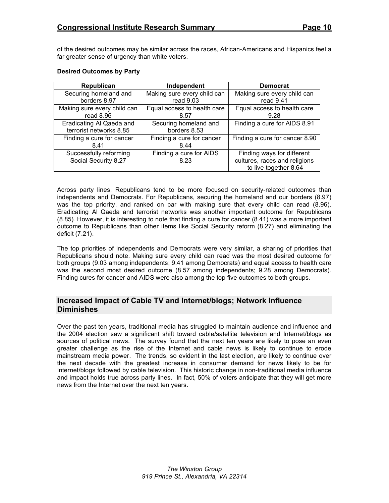of the desired outcomes may be similar across the races, African-Americans and Hispanics feel a far greater sense of urgency than white voters.

| Republican                  | Independent                 | <b>Democrat</b>                |
|-----------------------------|-----------------------------|--------------------------------|
| Securing homeland and       | Making sure every child can | Making sure every child can    |
| borders 8.97                | read $9.03$                 | read $9.41$                    |
| Making sure every child can | Equal access to health care | Equal access to health care    |
| read $8.96$                 | 8.57                        | 9.28                           |
| Eradicating Al Qaeda and    | Securing homeland and       | Finding a cure for AIDS 8.91   |
| terrorist networks 8.85     | borders 8.53                |                                |
| Finding a cure for cancer   | Finding a cure for cancer   | Finding a cure for cancer 8.90 |
| 841                         | 8.44                        |                                |
| Successfully reforming      | Finding a cure for AIDS     | Finding ways for different     |
| Social Security 8.27        | 8.23                        | cultures, races and religions  |
|                             |                             | to live together 8.64          |

#### **Desired Outcomes by Party**

Across party lines, Republicans tend to be more focused on security-related outcomes than independents and Democrats. For Republicans, securing the homeland and our borders (8.97) was the top priority, and ranked on par with making sure that every child can read (8.96). Eradicating Al Qaeda and terrorist networks was another important outcome for Republicans (8.85). However, it is interesting to note that finding a cure for cancer (8.41) was a more important outcome to Republicans than other items like Social Security reform (8.27) and eliminating the deficit (7.21).

The top priorities of independents and Democrats were very similar, a sharing of priorities that Republicans should note. Making sure every child can read was the most desired outcome for both groups (9.03 among independents; 9.41 among Democrats) and equal access to health care was the second most desired outcome (8.57 among independents; 9.28 among Democrats). Finding cures for cancer and AIDS were also among the top five outcomes to both groups.

# **Increased Impact of Cable TV and Internet/blogs; Network Influence Diminishes**

Over the past ten years, traditional media has struggled to maintain audience and influence and the 2004 election saw a significant shift toward cable/satellite television and Internet/blogs as sources of political news. The survey found that the next ten years are likely to pose an even greater challenge as the rise of the Internet and cable news is likely to continue to erode mainstream media power. The trends, so evident in the last election, are likely to continue over the next decade with the greatest increase in consumer demand for news likely to be for Internet/blogs followed by cable television. This historic change in non-traditional media influence and impact holds true across party lines. In fact, 50% of voters anticipate that they will get more news from the Internet over the next ten years.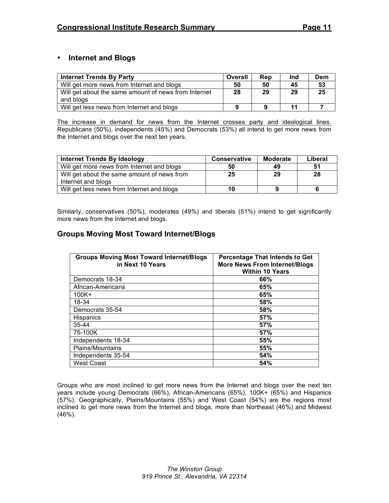# • **Internet and Blogs**

| <b>Internet Trends By Party</b>                      | Overall | Rep | Ind | Dem |
|------------------------------------------------------|---------|-----|-----|-----|
| Will get more news from Internet and blogs           | 50      | 50  | 45  | 53  |
| Will get about the same amount of news from Internet | 28      | 29  | 29  | 25  |
| and blogs                                            |         |     |     |     |
| Will get less news from Internet and blogs           | Q       | 9   | 11  |     |

The increase in demand for news from the Internet crosses party and ideological lines. Republicans (50%), independents (45%) and Democrats (53%) all intend to get more news from the Internet and blogs over the next ten years.

| <b>Internet Trends By Ideology</b>          | <b>Conservative</b> | Moderate | Liberal |
|---------------------------------------------|---------------------|----------|---------|
| Will get more news from Internet and blogs  | 50                  | 49       | 51      |
| Will get about the same amount of news from | 25                  | 29       | 28      |
| Internet and blogs                          |                     |          |         |
| Will get less news from Internet and blogs  | 10                  |          |         |

Similarly, conservatives (50%), moderates (49%) and liberals (51%) intend to get significantly more news from the Internet and blogs.

# **Groups Moving Most Toward Internet/Blogs**

| <b>Groups Moving Most Toward Internet/Blogs</b><br>in Next 10 Years | Percentage That Intends to Get<br><b>More News From Internet/Blogs</b><br><b>Within 10 Years</b> |
|---------------------------------------------------------------------|--------------------------------------------------------------------------------------------------|
| Democrats 18-34                                                     | 66%                                                                                              |
| African-Americans                                                   | 65%                                                                                              |
| $100K +$                                                            | 65%                                                                                              |
| 18-34                                                               | 58%                                                                                              |
| Democrats 35-54                                                     | 58%                                                                                              |
| <b>Hispanics</b>                                                    | 57%                                                                                              |
| $35 - 44$                                                           | 57%                                                                                              |
| 75-100K                                                             | 57%                                                                                              |
| Independents 18-34                                                  | 55%                                                                                              |
| Plains/Mountains                                                    | 55%                                                                                              |
| Independents 35-54                                                  | 54%                                                                                              |
| <b>West Coast</b>                                                   | 54%                                                                                              |

Groups who are most inclined to get more news from the Internet and blogs over the next ten years include young Democrats (66%), African-Americans (65%), 100K+ (65%) and Hispanics (57%). Geographically, Plains/Mountains (55%) and West Coast (54%) are the regions most inclined to get more news from the Internet and blogs, more than Northeast (46%) and Midwest (46%).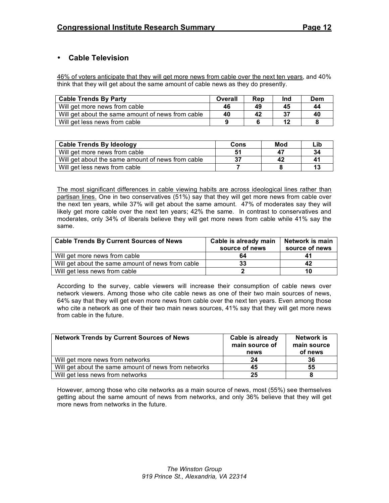# • **Cable Television**

46% of voters anticipate that they will get more news from cable over the next ten years, and 40% think that they will get about the same amount of cable news as they do presently.

| <b>Cable Trends By Party</b>                      | Overall | Rep | Ind | Dem |
|---------------------------------------------------|---------|-----|-----|-----|
| Will get more news from cable                     | 46      | 49  | 45  | 44  |
| Will get about the same amount of news from cable | 40      | 42  | 37  | 40  |
| Will get less news from cable                     |         |     |     |     |

| <b>Cable Trends By Ideology</b>                   | Cons | Mod | Lib |
|---------------------------------------------------|------|-----|-----|
| Will get more news from cable                     |      | 4.  | 34  |
| Will get about the same amount of news from cable |      | 42  | 41  |
| Will get less news from cable                     |      |     | 13  |

The most significant differences in cable viewing habits are across ideological lines rather than partisan lines. One in two conservatives (51%) say that they will get more news from cable over the next ten years, while 37% will get about the same amount. 47% of moderates say they will likely get more cable over the next ten years; 42% the same. In contrast to conservatives and moderates, only 34% of liberals believe they will get more news from cable while 41% say the same.

| <b>Cable Trends By Current Sources of News</b>    | Cable is already main<br>source of news | Network is main<br>source of news |
|---------------------------------------------------|-----------------------------------------|-----------------------------------|
| Will get more news from cable                     | 64                                      |                                   |
| Will get about the same amount of news from cable | 33                                      | 42                                |
| Will get less news from cable                     |                                         | 10                                |

According to the survey, cable viewers will increase their consumption of cable news over network viewers. Among those who cite cable news as one of their two main sources of news, 64% say that they will get even more news from cable over the next ten years. Even among those who cite a network as one of their two main news sources, 41% say that they will get more news from cable in the future.

| <b>Network Trends by Current Sources of News</b>     | Cable is already<br>main source of<br>news | Network is<br>main source<br>of news |
|------------------------------------------------------|--------------------------------------------|--------------------------------------|
| Will get more news from networks                     | 24                                         | 36                                   |
| Will get about the same amount of news from networks | 45                                         | 55                                   |
| Will get less news from networks                     | 25                                         |                                      |

However, among those who cite networks as a main source of news, most (55%) see themselves getting about the same amount of news from networks, and only 36% believe that they will get more news from networks in the future.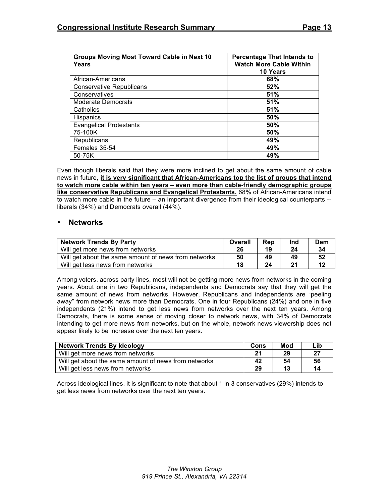| Groups Moving Most Toward Cable in Next 10<br>Years | <b>Percentage That Intends to</b><br><b>Watch More Cable Within</b> |  |  |
|-----------------------------------------------------|---------------------------------------------------------------------|--|--|
|                                                     | 10 Years                                                            |  |  |
|                                                     |                                                                     |  |  |
| African-Americans                                   | 68%                                                                 |  |  |
| <b>Conservative Republicans</b>                     | 52%                                                                 |  |  |
| Conservatives                                       | 51%                                                                 |  |  |
| <b>Moderate Democrats</b>                           | 51%                                                                 |  |  |
| Catholics                                           | 51%                                                                 |  |  |
| <b>Hispanics</b>                                    | 50%                                                                 |  |  |
| <b>Evangelical Protestants</b>                      | 50%                                                                 |  |  |
| 75-100K                                             | 50%                                                                 |  |  |
| Republicans                                         | 49%                                                                 |  |  |
| Females 35-54                                       | 49%                                                                 |  |  |
| 50-75K                                              | 49%                                                                 |  |  |

Even though liberals said that they were more inclined to get about the same amount of cable news in future, **it is very significant that African-Americans top the list of groups that intend to watch more cable within ten years – even more than cable-friendly demographic groups like conservative Republicans and Evangelical Protestants.** 68% of African-Americans intend to watch more cable in the future – an important divergence from their ideological counterparts - liberals (34%) and Democrats overall (44%).

#### • **Networks**

| <b>Network Trends By Party</b>                       | Overall | Rep | Ind | Dem |
|------------------------------------------------------|---------|-----|-----|-----|
| Will get more news from networks                     | 26      | 19  | 24  | 34  |
| Will get about the same amount of news from networks | 50      | 49  | 49  | 52  |
| Will get less news from networks                     | 18      | 24  | 21  |     |

Among voters, across party lines, most will not be getting more news from networks in the coming years. About one in two Republicans, independents and Democrats say that they will get the same amount of news from networks. However, Republicans and independents are "peeling away" from network news more than Democrats. One in four Republicans (24%) and one in five independents (21%) intend to get less news from networks over the next ten years. Among Democrats, there is some sense of moving closer to network news, with 34% of Democrats intending to get more news from networks, but on the whole, network news viewership does not appear likely to be increase over the next ten years.

| <b>Network Trends By Ideology</b>                    | Cons | Mod | Lib |
|------------------------------------------------------|------|-----|-----|
| Will get more news from networks                     | 21   | 29  | 27  |
| Will get about the same amount of news from networks | 42   | 54  | 56  |
| Will get less news from networks                     | 29   | 13  | 14  |

Across ideological lines, it is significant to note that about 1 in 3 conservatives (29%) intends to get less news from networks over the next ten years.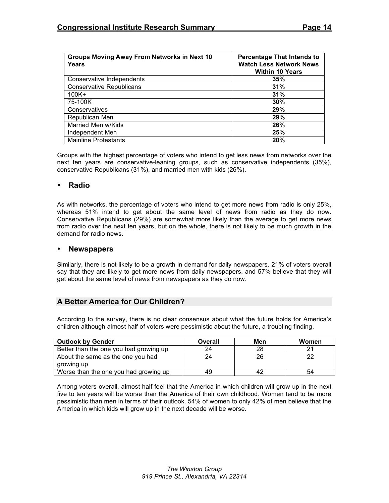| <b>Groups Moving Away From Networks in Next 10</b> | <b>Percentage That Intends to</b> |
|----------------------------------------------------|-----------------------------------|
| Years                                              | <b>Watch Less Network News</b>    |
|                                                    | <b>Within 10 Years</b>            |
| Conservative Independents                          | 35%                               |
| <b>Conservative Republicans</b>                    | 31%                               |
| $100K +$                                           | 31%                               |
| 75-100K                                            | 30%                               |
| Conservatives                                      | 29%                               |
| Republican Men                                     | 29%                               |
| Married Men w/Kids                                 | 26%                               |
| Independent Men                                    | 25%                               |
| <b>Mainline Protestants</b>                        | 20%                               |

Groups with the highest percentage of voters who intend to get less news from networks over the next ten years are conservative-leaning groups, such as conservative independents (35%), conservative Republicans (31%), and married men with kids (26%).

#### • **Radio**

As with networks, the percentage of voters who intend to get more news from radio is only 25%, whereas 51% intend to get about the same level of news from radio as they do now. Conservative Republicans (29%) are somewhat more likely than the average to get more news from radio over the next ten years, but on the whole, there is not likely to be much growth in the demand for radio news.

#### • **Newspapers**

Similarly, there is not likely to be a growth in demand for daily newspapers. 21% of voters overall say that they are likely to get more news from daily newspapers, and 57% believe that they will get about the same level of news from newspapers as they do now.

# **A Better America for Our Children?**

According to the survey, there is no clear consensus about what the future holds for America's children although almost half of voters were pessimistic about the future, a troubling finding.

| <b>Outlook by Gender</b>               | Overall | Men | Women |
|----------------------------------------|---------|-----|-------|
| Better than the one you had growing up | 24      | 28  | 21    |
| About the same as the one you had      | 24      | 26  | 22    |
| growing up                             |         |     |       |
| Worse than the one you had growing up  | 49      | 42  | 54    |

Among voters overall, almost half feel that the America in which children will grow up in the next five to ten years will be worse than the America of their own childhood. Women tend to be more pessimistic than men in terms of their outlook. 54% of women to only 42% of men believe that the America in which kids will grow up in the next decade will be worse.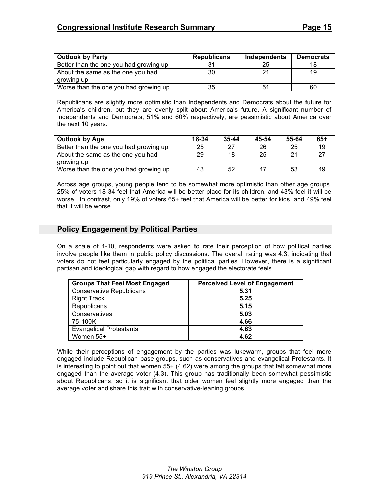| <b>Outlook by Party</b>                | <b>Republicans</b> | <b>Independents</b> | <b>Democrats</b> |
|----------------------------------------|--------------------|---------------------|------------------|
| Better than the one you had growing up |                    | 25                  |                  |
| About the same as the one you had      | 30                 | 21                  | 19               |
| growing up                             |                    |                     |                  |
| Worse than the one you had growing up  | 35                 | 51                  | 60               |

Republicans are slightly more optimistic than Independents and Democrats about the future for America's children, but they are evenly split about America's future. A significant number of Independents and Democrats, 51% and 60% respectively, are pessimistic about America over the next 10 years.

| <b>Outlook by Age</b>                  | 18-34 | $35 - 44$ | 45-54 | 55-64 | $65+$ |
|----------------------------------------|-------|-----------|-------|-------|-------|
| Better than the one you had growing up | 25    | 27        | 26    | 25    | 19    |
| About the same as the one you had      | 29    | 18        | 25    | 21    |       |
| growing up                             |       |           |       |       |       |
| Worse than the one you had growing up  | 43    | 52        |       | 53    | 49    |

Across age groups, young people tend to be somewhat more optimistic than other age groups. 25% of voters 18-34 feel that America will be better place for its children, and 43% feel it will be worse. In contrast, only 19% of voters 65+ feel that America will be better for kids, and 49% feel that it will be worse.

# **Policy Engagement by Political Parties**

On a scale of 1-10, respondents were asked to rate their perception of how political parties involve people like them in public policy discussions. The overall rating was 4.3, indicating that voters do not feel particularly engaged by the political parties. However, there is a significant partisan and ideological gap with regard to how engaged the electorate feels.

| <b>Groups That Feel Most Engaged</b> | <b>Perceived Level of Engagement</b> |
|--------------------------------------|--------------------------------------|
| <b>Conservative Republicans</b>      | 5.31                                 |
| <b>Right Track</b>                   | 5.25                                 |
| Republicans                          | 5.15                                 |
| Conservatives                        | 5.03                                 |
| 75-100K                              | 4.66                                 |
| <b>Evangelical Protestants</b>       | 4.63                                 |
| Women 55+                            | 4.62                                 |

While their perceptions of engagement by the parties was lukewarm, groups that feel more engaged include Republican base groups, such as conservatives and evangelical Protestants. It is interesting to point out that women 55+ (4.62) were among the groups that felt somewhat more engaged than the average voter (4.3). This group has traditionally been somewhat pessimistic about Republicans, so it is significant that older women feel slightly more engaged than the average voter and share this trait with conservative-leaning groups.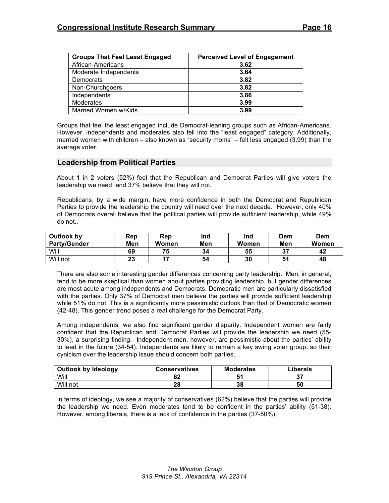| <b>Groups That Feel Least Engaged</b> | <b>Perceived Level of Engagement</b> |
|---------------------------------------|--------------------------------------|
| African-Americans                     | 3.62                                 |
| Moderate Independents                 | 3.64                                 |
| Democrats                             | 3.82                                 |
| Non-Churchgoers                       | 3.82                                 |
| Independents                          | 3.86                                 |
| Moderates                             | 3.99                                 |
| Married Women w/Kids                  | 3.99                                 |

Groups that feel the least engaged include Democrat-leaning groups such as African-Americans. However, independents and moderates also fell into the "least engaged" category. Additionally, married women with children – also known as "security moms" – felt less engaged (3.99) than the average voter.

### **Leadership from Political Parties**

About 1 in 2 voters (52%) feel that the Republican and Democrat Parties will give voters the leadership we need, and 37% believe that they will not.

Republicans, by a wide margin, have more confidence in both the Democrat and Republican Parties to provide the leadership the country will need over the next decade. However, only 40% of Democrats overall believe that the political parties will provide sufficient leadership, while 49% do not..

| Outlook by<br><b>Party/Gender</b> | Rep<br>Men | Rep<br>Women | Ind<br>Men | Ind<br>Women | Dem<br>Men | <b>Dem</b><br>Women |
|-----------------------------------|------------|--------------|------------|--------------|------------|---------------------|
| Will                              | 69         | 75           | 34         | 55           | 37         | 42                  |
| Will not                          | ົ<br>40    | 47           | 54         | 30           | 51         | 48                  |

There are also some interesting gender differences concerning party leadership. Men, in general, tend to be more skeptical than women about parties providing leadership, but gender differences are most acute among independents and Democrats. Democratic men are particularly dissatisfied with the parties. Only 37% of Democrat men believe the parties will provide sufficient leadership while 51% do not. This is a significantly more pessimistic outlook than that of Democratic women (42-48). This gender trend poses a real challenge for the Democrat Party.

Among independents, we also find significant gender disparity. Independent women are fairly confident that the Republican and Democrat Parties will provide the leadership we need (55- 30%), a surprising finding. Independent men, however, are pessimistic about the parties' ability to lead in the future (34-54). Independents are likely to remain a key swing voter group, so their cynicism over the leadership issue should concern both parties.

| <b>Outlook by Ideology</b> | <b>Conservatives</b> | <b>Moderates</b> | Liberals |
|----------------------------|----------------------|------------------|----------|
| Will                       | ОZ                   |                  | 37       |
| Will not                   | 28                   | 38               | 50       |

In terms of ideology, we see a majority of conservatives (62%) believe that the parties will provide the leadership we need. Even moderates tend to be confident in the parties' ability (51-38). However, among liberals, there is a lack of confidence in the parties (37-50%).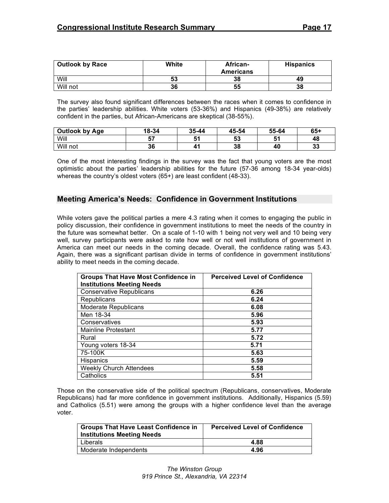| <b>Outlook by Race</b> | White | African-         | <b>Hispanics</b> |
|------------------------|-------|------------------|------------------|
|                        |       | <b>Americans</b> |                  |
| Will                   | 53    | 38               | 49               |
| Will not               | 36    | 55               | 38               |

The survey also found significant differences between the races when it comes to confidence in the parties' leadership abilities. White voters (53-36%) and Hispanics (49-38%) are relatively confident in the parties, but African-Americans are skeptical (38-55%).

| Outlook by Age | 18-34 | 35-44 | 45-54 | 55-64 | $65+$ |
|----------------|-------|-------|-------|-------|-------|
| Will           | 57    | 51    | 53    |       | 48    |
| Will not       | 36    | 41    | 38    | 40    | 33    |

One of the most interesting findings in the survey was the fact that young voters are the most optimistic about the parties' leadership abilities for the future (57-36 among 18-34 year-olds) whereas the country's oldest voters (65+) are least confident (48-33).

### **Meeting America's Needs: Confidence in Government Institutions**

While voters gave the political parties a mere 4.3 rating when it comes to engaging the public in policy discussion, their confidence in government institutions to meet the needs of the country in the future was somewhat better. On a scale of 1-10 with 1 being not very well and 10 being very well, survey participants were asked to rate how well or not well institutions of government in America can meet our needs in the coming decade. Overall, the confidence rating was 5.43. Again, there was a significant partisan divide in terms of confidence in government institutions' ability to meet needs in the coming decade.

| <b>Groups That Have Most Confidence in</b><br><b>Institutions Meeting Needs</b> | <b>Perceived Level of Confidence</b> |
|---------------------------------------------------------------------------------|--------------------------------------|
| <b>Conservative Republicans</b>                                                 | 6.26                                 |
| Republicans                                                                     | 6.24                                 |
| Moderate Republicans                                                            | 6.08                                 |
| Men 18-34                                                                       | 5.96                                 |
| Conservatives                                                                   | 5.93                                 |
| <b>Mainline Protestant</b>                                                      | 5.77                                 |
| Rural                                                                           | 5.72                                 |
| Young voters 18-34                                                              | 5.71                                 |
| 75-100K                                                                         | 5.63                                 |
| Hispanics                                                                       | 5.59                                 |
| <b>Weekly Church Attendees</b>                                                  | 5.58                                 |
| Catholics                                                                       | 5.51                                 |

Those on the conservative side of the political spectrum (Republicans, conservatives, Moderate Republicans) had far more confidence in government institutions. Additionally, Hispanics (5.59) and Catholics (5.51) were among the groups with a higher confidence level than the average voter.

| <b>Groups That Have Least Confidence in</b><br><b>Institutions Meeting Needs</b> | <b>Perceived Level of Confidence</b> |
|----------------------------------------------------------------------------------|--------------------------------------|
| Liberals                                                                         | 4.88                                 |
| Moderate Independents                                                            | 4.96                                 |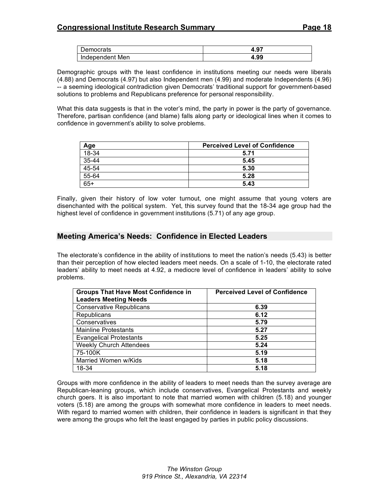| Democrats       | -פ<br>4.J. |
|-----------------|------------|
| Independent Men | ഹ<br>4.93  |

Demographic groups with the least confidence in institutions meeting our needs were liberals (4.88) and Democrats (4.97) but also Independent men (4.99) and moderate Independents (4.96) -- a seeming ideological contradiction given Democrats' traditional support for government-based solutions to problems and Republicans preference for personal responsibility.

What this data suggests is that in the voter's mind, the party in power is the party of governance. Therefore, partisan confidence (and blame) falls along party or ideological lines when it comes to confidence in government's ability to solve problems.

| Age   | <b>Perceived Level of Confidence</b> |
|-------|--------------------------------------|
| 18-34 | 5.71                                 |
| 35-44 | 5.45                                 |
| 45-54 | 5.30                                 |
| 55-64 | 5.28                                 |
| $65+$ | 5.43                                 |

Finally, given their history of low voter turnout, one might assume that young voters are disenchanted with the political system. Yet, this survey found that the 18-34 age group had the highest level of confidence in government institutions (5.71) of any age group.

# **Meeting America's Needs: Confidence in Elected Leaders**

The electorate's confidence in the ability of institutions to meet the nation's needs (5.43) is better than their perception of how elected leaders meet needs. On a scale of 1-10, the electorate rated leaders' ability to meet needs at 4.92, a mediocre level of confidence in leaders' ability to solve problems.

| <b>Groups That Have Most Confidence in</b> | <b>Perceived Level of Confidence</b> |
|--------------------------------------------|--------------------------------------|
| <b>Leaders Meeting Needs</b>               |                                      |
| <b>Conservative Republicans</b>            | 6.39                                 |
| Republicans                                | 6.12                                 |
| Conservatives                              | 5.79                                 |
| <b>Mainline Protestants</b>                | 5.27                                 |
| <b>Evangelical Protestants</b>             | 5.25                                 |
| <b>Weekly Church Attendees</b>             | 5.24                                 |
| 75-100K                                    | 5.19                                 |
| Married Women w/Kids                       | 5.18                                 |
| 18-34                                      | 5.18                                 |

Groups with more confidence in the ability of leaders to meet needs than the survey average are Republican-leaning groups, which include conservatives, Evangelical Protestants and weekly church goers. It is also important to note that married women with children (5.18) and younger voters (5.18) are among the groups with somewhat more confidence in leaders to meet needs. With regard to married women with children, their confidence in leaders is significant in that they were among the groups who felt the least engaged by parties in public policy discussions.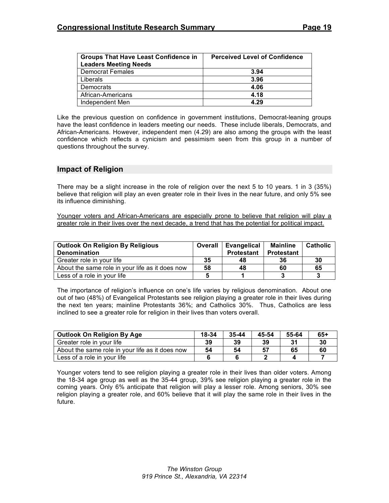| <b>Groups That Have Least Confidence in</b> | <b>Perceived Level of Confidence</b> |
|---------------------------------------------|--------------------------------------|
| <b>Leaders Meeting Needs</b>                |                                      |
| <b>Democrat Females</b>                     | 3.94                                 |
| Liberals                                    | 3.96                                 |
| Democrats                                   | 4.06                                 |
| African-Americans                           | 4.18                                 |
| Independent Men                             | 4.29                                 |

Like the previous question on confidence in government institutions, Democrat-leaning groups have the least confidence in leaders meeting our needs. These include liberals, Democrats, and African-Americans. However, independent men (4.29) are also among the groups with the least confidence which reflects a cynicism and pessimism seen from this group in a number of questions throughout the survey.

#### **Impact of Religion**

There may be a slight increase in the role of religion over the next 5 to 10 years. 1 in 3 (35%) believe that religion will play an even greater role in their lives in the near future, and only 5% see its influence diminishing.

Younger voters and African-Americans are especially prone to believe that religion will play a greater role in their lives over the next decade, a trend that has the potential for political impact.

| <b>Outlook On Religion By Religious</b>         | Overall | Evangelical       | <b>Mainline</b>   | <b>Catholic</b> |
|-------------------------------------------------|---------|-------------------|-------------------|-----------------|
| <b>Denomination</b>                             |         | <b>Protestant</b> | <b>Protestant</b> |                 |
| Greater role in your life                       | 35      | 48                | 36                | 30              |
| About the same role in your life as it does now | 58      | 48                | 60                | 65              |
| Less of a role in your life                     |         |                   |                   |                 |

The importance of religion's influence on one's life varies by religious denomination. About one out of two (48%) of Evangelical Protestants see religion playing a greater role in their lives during the next ten years; mainline Protestants 36%; and Catholics 30%. Thus, Catholics are less inclined to see a greater role for religion in their lives than voters overall.

| <b>Outlook On Religion By Age</b>               | 18-34 | $35 - 44$ | 45-54 | 55-64 | $65+$ |
|-------------------------------------------------|-------|-----------|-------|-------|-------|
| Greater role in your life                       | 39    | 39        | 39    | 31    | 30    |
| About the same role in your life as it does now | 54    | 54        | 57    | 65    | 60    |
| Less of a role in your life                     |       |           |       |       |       |

Younger voters tend to see religion playing a greater role in their lives than older voters. Among the 18-34 age group as well as the 35-44 group, 39% see religion playing a greater role in the coming years. Only 6% anticipate that religion will play a lesser role. Among seniors, 30% see religion playing a greater role, and 60% believe that it will play the same role in their lives in the future.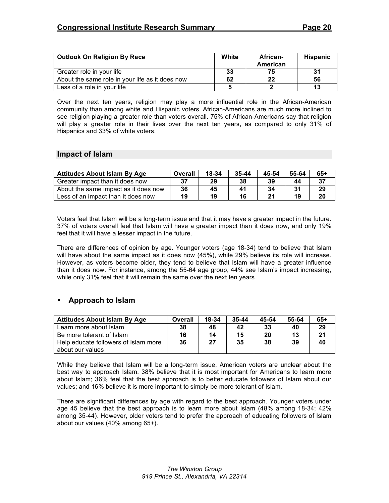| <b>Outlook On Religion By Race</b>              | White | African-<br>American | <b>Hispanic</b> |
|-------------------------------------------------|-------|----------------------|-----------------|
| Greater role in your life                       | 33    | 75                   | 31              |
| About the same role in your life as it does now | 62    | 22                   | 56              |
| Less of a role in your life                     |       |                      | 13              |

Over the next ten years, religion may play a more influential role in the African-American community than among white and Hispanic voters. African-Americans are much more inclined to see religion playing a greater role than voters overall. 75% of African-Americans say that religion will play a greater role in their lives over the next ten years, as compared to only 31% of Hispanics and 33% of white voters.

### **Impact of Islam**

| <b>Attitudes About Islam By Age</b>  | Overall | 18-34 | $35 - 44$ | 45-54 | 55-64 | $65+$ |
|--------------------------------------|---------|-------|-----------|-------|-------|-------|
| Greater impact than it does now      | -37     | 29    | 38        | 39    | 44    |       |
| About the same impact as it does now | 36      | 45    | 41        | 34    | 31    | 29    |
| Less of an impact than it does now   | 19      | 19    | 16        |       | 19    |       |

Voters feel that Islam will be a long-term issue and that it may have a greater impact in the future. 37% of voters overall feel that Islam will have a greater impact than it does now, and only 19% feel that it will have a lesser impact in the future.

There are differences of opinion by age. Younger voters (age 18-34) tend to believe that Islam will have about the same impact as it does now (45%), while 29% believe its role will increase. However, as voters become older, they tend to believe that Islam will have a greater influence than it does now. For instance, among the 55-64 age group, 44% see Islam's impact increasing, while only 31% feel that it will remain the same over the next ten years.

# • **Approach to Islam**

| <b>Attitudes About Islam By Age</b>  | Overall | 18-34 | $35 - 44$ | 45-54 | 55-64 | $65+$ |
|--------------------------------------|---------|-------|-----------|-------|-------|-------|
| Learn more about Islam               | 38      | 48    | 42        | 33    | 40    | 29    |
| Be more tolerant of Islam            | 16      | 14    | 15        | 20    | 13    |       |
| Help educate followers of Islam more | 36      | 27    | 35        | 38    | 39    | 40    |
| about our values                     |         |       |           |       |       |       |

While they believe that Islam will be a long-term issue, American voters are unclear about the best way to approach Islam. 38% believe that it is most important for Americans to learn more about Islam; 36% feel that the best approach is to better educate followers of Islam about our values; and 16% believe it is more important to simply be more tolerant of Islam.

There are significant differences by age with regard to the best approach. Younger voters under age 45 believe that the best approach is to learn more about Islam (48% among 18-34; 42% among 35-44). However, older voters tend to prefer the approach of educating followers of Islam about our values (40% among 65+).